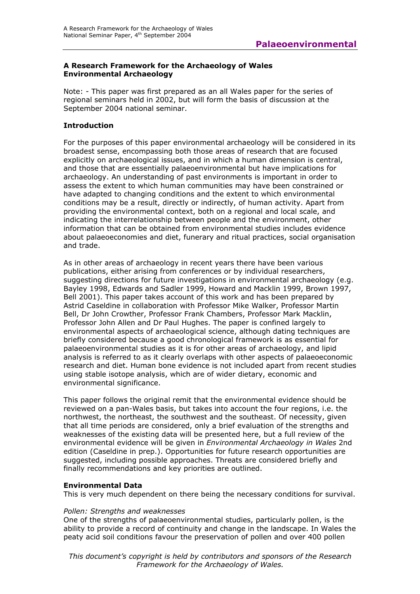#### **A Research Framework for the Archaeology of Wales Environmental Archaeology**

Note: - This paper was first prepared as an all Wales paper for the series of regional seminars held in 2002, but will form the basis of discussion at the September 2004 national seminar.

### **Introduction**

For the purposes of this paper environmental archaeology will be considered in its broadest sense, encompassing both those areas of research that are focused explicitly on archaeological issues, and in which a human dimension is central, and those that are essentially palaeoenvironmental but have implications for archaeology. An understanding of past environments is important in order to assess the extent to which human communities may have been constrained or have adapted to changing conditions and the extent to which environmental conditions may be a result, directly or indirectly, of human activity. Apart from providing the environmental context, both on a regional and local scale, and indicating the interrelationship between people and the environment, other information that can be obtained from environmental studies includes evidence about palaeoeconomies and diet, funerary and ritual practices, social organisation and trade.

As in other areas of archaeology in recent years there have been various publications, either arising from conferences or by individual researchers, suggesting directions for future investigations in environmental archaeology (e.g. Bayley 1998, Edwards and Sadler 1999, Howard and Macklin 1999, Brown 1997, Bell 2001). This paper takes account of this work and has been prepared by Astrid Caseldine in collaboration with Professor Mike Walker, Professor Martin Bell, Dr John Crowther, Professor Frank Chambers, Professor Mark Macklin, Professor John Allen and Dr Paul Hughes. The paper is confined largely to environmental aspects of archaeological science, although dating techniques are briefly considered because a good chronological framework is as essential for palaeoenvironmental studies as it is for other areas of archaeology, and lipid analysis is referred to as it clearly overlaps with other aspects of palaeoeconomic research and diet. Human bone evidence is not included apart from recent studies using stable isotope analysis, which are of wider dietary, economic and environmental significance.

This paper follows the original remit that the environmental evidence should be reviewed on a pan-Wales basis, but takes into account the four regions, i.e. the northwest, the northeast, the southwest and the southeast. Of necessity, given that all time periods are considered, only a brief evaluation of the strengths and weaknesses of the existing data will be presented here, but a full review of the environmental evidence will be given in *Environmental Archaeology in Wales* 2nd edition (Caseldine in prep.). Opportunities for future research opportunities are suggested, including possible approaches. Threats are considered briefly and finally recommendations and key priorities are outlined.

#### **Environmental Data**

This is very much dependent on there being the necessary conditions for survival.

#### *Pollen: Strengths and weaknesses*

One of the strengths of palaeoenvironmental studies, particularly pollen, is the ability to provide a record of continuity and change in the landscape. In Wales the peaty acid soil conditions favour the preservation of pollen and over 400 pollen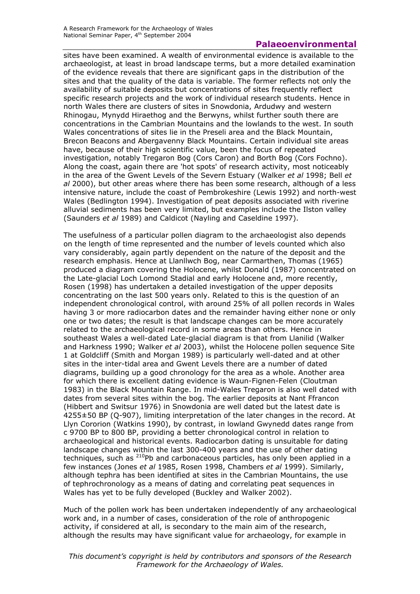sites have been examined. A wealth of environmental evidence is available to the archaeologist, at least in broad landscape terms, but a more detailed examination of the evidence reveals that there are significant gaps in the distribution of the sites and that the quality of the data is variable. The former reflects not only the availability of suitable deposits but concentrations of sites frequently reflect specific research projects and the work of individual research students. Hence in north Wales there are clusters of sites in Snowdonia, Ardudwy and western Rhinogau, Mynydd Hiraethog and the Berwyns, whilst further south there are concentrations in the Cambrian Mountains and the lowlands to the west. In south Wales concentrations of sites lie in the Preseli area and the Black Mountain, Brecon Beacons and Abergavenny Black Mountains. Certain individual site areas have, because of their high scientific value, been the focus of repeated investigation, notably Tregaron Bog (Cors Caron) and Borth Bog (Cors Fochno). Along the coast, again there are 'hot spots' of research activity, most noticeably in the area of the Gwent Levels of the Severn Estuary (Walker *et al* 1998; Bell *et al* 2000), but other areas where there has been some research, although of a less intensive nature, include the coast of Pembrokeshire (Lewis 1992) and north-west Wales (Bedlington 1994). Investigation of peat deposits associated with riverine alluvial sediments has been very limited, but examples include the Ilston valley (Saunders *et al* 1989) and Caldicot (Nayling and Caseldine 1997).

The usefulness of a particular pollen diagram to the archaeologist also depends on the length of time represented and the number of levels counted which also vary considerably, again partly dependent on the nature of the deposit and the research emphasis. Hence at Llanllwch Bog, near Carmarthen, Thomas (1965) produced a diagram covering the Holocene, whilst Donald (1987) concentrated on the Late-glacial Loch Lomond Stadial and early Holocene and, more recently, Rosen (1998) has undertaken a detailed investigation of the upper deposits concentrating on the last 500 years only. Related to this is the question of an independent chronological control, with around 25% of all pollen records in Wales having 3 or more radiocarbon dates and the remainder having either none or only one or two dates; the result is that landscape changes can be more accurately related to the archaeological record in some areas than others. Hence in southeast Wales a well-dated Late-glacial diagram is that from Llanilid (Walker and Harkness 1990; Walker *et al* 2003), whilst the Holocene pollen sequence Site 1 at Goldcliff (Smith and Morgan 1989) is particularly well-dated and at other sites in the inter-tidal area and Gwent Levels there are a number of dated diagrams, building up a good chronology for the area as a whole. Another area for which there is excellent dating evidence is Waun-Fignen-Felen (Cloutman 1983) in the Black Mountain Range. In mid-Wales Tregaron is also well dated with dates from several sites within the bog. The earlier deposits at Nant Ffrancon (Hibbert and Switsur 1976) in Snowdonia are well dated but the latest date is 4255±50 BP (Q-907), limiting interpretation of the later changes in the record. At Llyn Cororion (Watkins 1990), by contrast, in lowland Gwynedd dates range from c 9700 BP to 800 BP, providing a better chronological control in relation to archaeological and historical events. Radiocarbon dating is unsuitable for dating landscape changes within the last 300-400 years and the use of other dating techniques, such as <sup>210</sup>Pb and carbonaceous particles, has only been applied in a few instances (Jones *et al* 1985, Rosen 1998, Chambers *et al* 1999). Similarly, although tephra has been identified at sites in the Cambrian Mountains, the use of tephrochronology as a means of dating and correlating peat sequences in Wales has yet to be fully developed (Buckley and Walker 2002).

Much of the pollen work has been undertaken independently of any archaeological work and, in a number of cases, consideration of the role of anthropogenic activity, if considered at all, is secondary to the main aim of the research, although the results may have significant value for archaeology, for example in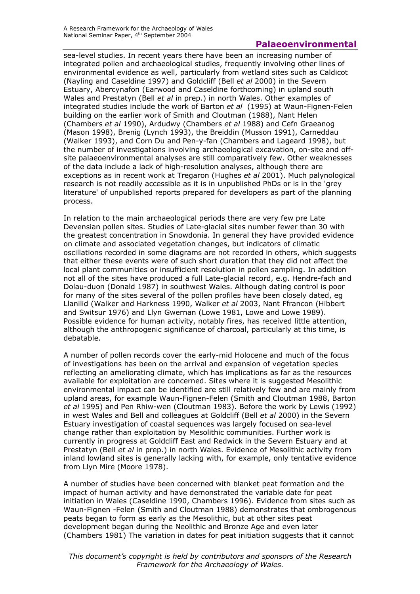sea-level studies. In recent years there have been an increasing number of integrated pollen and archaeological studies, frequently involving other lines of environmental evidence as well, particularly from wetland sites such as Caldicot (Nayling and Caseldine 1997) and Goldcliff (Bell *et al* 2000) in the Severn Estuary, Abercynafon (Earwood and Caseldine forthcoming) in upland south Wales and Prestatyn (Bell *et al* in prep.) in north Wales. Other examples of integrated studies include the work of Barton *et al* (1995) at Waun-Fignen-Felen building on the earlier work of Smith and Cloutman (1988), Nant Helen (Chambers *et al* 1990), Ardudwy (Chambers *et al* 1988) and Cefn Graeanog (Mason 1998), Brenig (Lynch 1993), the Breiddin (Musson 1991), Carneddau (Walker 1993), and Corn Du and Pen-y-fan (Chambers and Lageard 1998), but the number of investigations involving archaeological excavation, on-site and offsite palaeoenvironmental analyses are still comparatively few. Other weaknesses of the data include a lack of high-resolution analyses, although there are exceptions as in recent work at Tregaron (Hughes *et al* 2001). Much palynological research is not readily accessible as it is in unpublished PhDs or is in the 'grey literature' of unpublished reports prepared for developers as part of the planning process.

In relation to the main archaeological periods there are very few pre Late Devensian pollen sites. Studies of Late-glacial sites number fewer than 30 with the greatest concentration in Snowdonia. In general they have provided evidence on climate and associated vegetation changes, but indicators of climatic oscillations recorded in some diagrams are not recorded in others, which suggests that either these events were of such short duration that they did not affect the local plant communities or insufficient resolution in pollen sampling. In addition not all of the sites have produced a full Late-glacial record, e.g. Hendre-fach and Dolau-duon (Donald 1987) in southwest Wales. Although dating control is poor for many of the sites several of the pollen profiles have been closely dated, eg Llanilid (Walker and Harkness 1990, Walker *et al* 2003, Nant Ffrancon (Hibbert and Switsur 1976) and Llyn Gwernan (Lowe 1981, Lowe and Lowe 1989). Possible evidence for human activity, notably fires, has received little attention, although the anthropogenic significance of charcoal, particularly at this time, is debatable.

A number of pollen records cover the early-mid Holocene and much of the focus of investigations has been on the arrival and expansion of vegetation species reflecting an ameliorating climate, which has implications as far as the resources available for exploitation are concerned. Sites where it is suggested Mesolithic environmental impact can be identified are still relatively few and are mainly from upland areas, for example Waun-Fignen-Felen (Smith and Cloutman 1988, Barton *et al* 1995) and Pen Rhiw-wen (Cloutman 1983). Before the work by Lewis (1992) in west Wales and Bell and colleagues at Goldcliff (Bell *et al* 2000) in the Severn Estuary investigation of coastal sequences was largely focused on sea-level change rather than exploitation by Mesolithic communities. Further work is currently in progress at Goldcliff East and Redwick in the Severn Estuary and at Prestatyn (Bell *et al* in prep.) in north Wales. Evidence of Mesolithic activity from inland lowland sites is generally lacking with, for example, only tentative evidence from Llyn Mire (Moore 1978).

A number of studies have been concerned with blanket peat formation and the impact of human activity and have demonstrated the variable date for peat initiation in Wales (Caseldine 1990, Chambers 1996). Evidence from sites such as Waun-Fignen -Felen (Smith and Cloutman 1988) demonstrates that ombrogenous peats began to form as early as the Mesolithic, but at other sites peat development began during the Neolithic and Bronze Age and even later (Chambers 1981) The variation in dates for peat initiation suggests that it cannot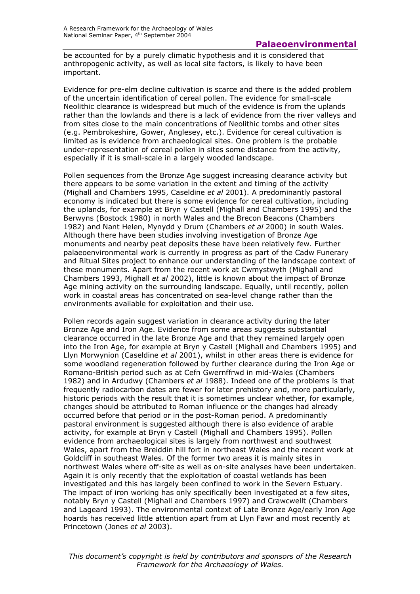be accounted for by a purely climatic hypothesis and it is considered that anthropogenic activity, as well as local site factors, is likely to have been important.

Evidence for pre-elm decline cultivation is scarce and there is the added problem of the uncertain identification of cereal pollen. The evidence for small-scale Neolithic clearance is widespread but much of the evidence is from the uplands rather than the lowlands and there is a lack of evidence from the river valleys and from sites close to the main concentrations of Neolithic tombs and other sites (e.g. Pembrokeshire, Gower, Anglesey, etc.). Evidence for cereal cultivation is limited as is evidence from archaeological sites. One problem is the probable under-representation of cereal pollen in sites some distance from the activity, especially if it is small-scale in a largely wooded landscape.

Pollen sequences from the Bronze Age suggest increasing clearance activity but there appears to be some variation in the extent and timing of the activity (Mighall and Chambers 1995, Caseldine *et al* 2001). A predominantly pastoral economy is indicated but there is some evidence for cereal cultivation, including the uplands, for example at Bryn y Castell (Mighall and Chambers 1995) and the Berwyns (Bostock 1980) in north Wales and the Brecon Beacons (Chambers 1982) and Nant Helen, Mynydd y Drum (Chambers *et al* 2000) in south Wales. Although there have been studies involving investigation of Bronze Age monuments and nearby peat deposits these have been relatively few. Further palaeoenvironmental work is currently in progress as part of the Cadw Funerary and Ritual Sites project to enhance our understanding of the landscape context of these monuments. Apart from the recent work at Cwmystwyth (Mighall and Chambers 1993, Mighall *et al* 2002), little is known about the impact of Bronze Age mining activity on the surrounding landscape. Equally, until recently, pollen work in coastal areas has concentrated on sea-level change rather than the environments available for exploitation and their use.

Pollen records again suggest variation in clearance activity during the later Bronze Age and Iron Age. Evidence from some areas suggests substantial clearance occurred in the late Bronze Age and that they remained largely open into the Iron Age, for example at Bryn y Castell (Mighall and Chambers 1995) and Llyn Morwynion (Caseldine *et al* 2001), whilst in other areas there is evidence for some woodland regeneration followed by further clearance during the Iron Age or Romano-British period such as at Cefn Gwernffrwd in mid-Wales (Chambers 1982) and in Ardudwy (Chambers *et al* 1988). Indeed one of the problems is that frequently radiocarbon dates are fewer for later prehistory and, more particularly, historic periods with the result that it is sometimes unclear whether, for example, changes should be attributed to Roman influence or the changes had already occurred before that period or in the post-Roman period. A predominantly pastoral environment is suggested although there is also evidence of arable activity, for example at Bryn y Castell (Mighall and Chambers 1995). Pollen evidence from archaeological sites is largely from northwest and southwest Wales, apart from the Breiddin hill fort in northeast Wales and the recent work at Goldcliff in southeast Wales. Of the former two areas it is mainly sites in northwest Wales where off-site as well as on-site analyses have been undertaken. Again it is only recently that the exploitation of coastal wetlands has been investigated and this has largely been confined to work in the Severn Estuary. The impact of iron working has only specifically been investigated at a few sites, notably Bryn y Castell (Mighall and Chambers 1997) and Crawcwellt (Chambers and Lageard 1993). The environmental context of Late Bronze Age/early Iron Age hoards has received little attention apart from at Llyn Fawr and most recently at Princetown (Jones *et al* 2003).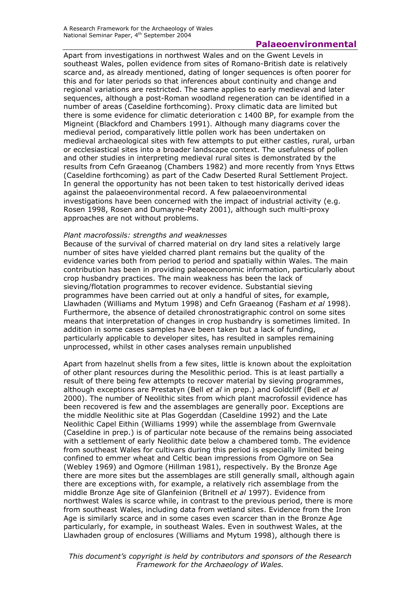Apart from investigations in northwest Wales and on the Gwent Levels in southeast Wales, pollen evidence from sites of Romano-British date is relatively scarce and, as already mentioned, dating of longer sequences is often poorer for this and for later periods so that inferences about continuity and change and regional variations are restricted. The same applies to early medieval and later sequences, although a post-Roman woodland regeneration can be identified in a number of areas (Caseldine forthcoming). Proxy climatic data are limited but there is some evidence for climatic deterioration c 1400 BP, for example from the Migneint (Blackford and Chambers 1991). Although many diagrams cover the medieval period, comparatively little pollen work has been undertaken on medieval archaeological sites with few attempts to put either castles, rural, urban or ecclesiastical sites into a broader landscape context. The usefulness of pollen and other studies in interpreting medieval rural sites is demonstrated by the results from Cefn Graeanog (Chambers 1982) and more recently from Ynys Ettws (Caseldine forthcoming) as part of the Cadw Deserted Rural Settlement Project. In general the opportunity has not been taken to test historically derived ideas against the palaeoenvironmental record. A few palaeoenvironmental investigations have been concerned with the impact of industrial activity (e.g. Rosen 1998, Rosen and Dumayne-Peaty 2001), although such multi-proxy approaches are not without problems.

#### *Plant macrofossils: strengths and weaknesses*

Because of the survival of charred material on dry land sites a relatively large number of sites have yielded charred plant remains but the quality of the evidence varies both from period to period and spatially within Wales. The main contribution has been in providing palaeoeconomic information, particularly about crop husbandry practices. The main weakness has been the lack of sieving/flotation programmes to recover evidence. Substantial sieving programmes have been carried out at only a handful of sites, for example, Llawhaden (Williams and Mytum 1998) and Cefn Graeanog (Fasham *et al* 1998). Furthermore, the absence of detailed chronostratigraphic control on some sites means that interpretation of changes in crop husbandry is sometimes limited. In addition in some cases samples have been taken but a lack of funding, particularly applicable to developer sites, has resulted in samples remaining unprocessed, whilst in other cases analyses remain unpublished

Apart from hazelnut shells from a few sites, little is known about the exploitation of other plant resources during the Mesolithic period. This is at least partially a result of there being few attempts to recover material by sieving programmes, although exceptions are Prestatyn (Bell *et al* in prep.) and Goldcliff (Bell *et al*  2000). The number of Neolithic sites from which plant macrofossil evidence has been recovered is few and the assemblages are generally poor. Exceptions are the middle Neolithic site at Plas Gogerddan (Caseldine 1992) and the Late Neolithic Capel Eithin (Williams 1999) while the assemblage from Gwernvale (Caseldine in prep.) is of particular note because of the remains being associated with a settlement of early Neolithic date below a chambered tomb. The evidence from southeast Wales for cultivars during this period is especially limited being confined to emmer wheat and Celtic bean impressions from Ogmore on Sea (Webley 1969) and Ogmore (Hillman 1981), respectively. By the Bronze Age there are more sites but the assemblages are still generally small, although again there are exceptions with, for example, a relatively rich assemblage from the middle Bronze Age site of Glanfeinion (Britnell *et al* 1997). Evidence from northwest Wales is scarce while, in contrast to the previous period, there is more from southeast Wales, including data from wetland sites. Evidence from the Iron Age is similarly scarce and in some cases even scarcer than in the Bronze Age particularly, for example, in southeast Wales. Even in southwest Wales, at the Llawhaden group of enclosures (Williams and Mytum 1998), although there is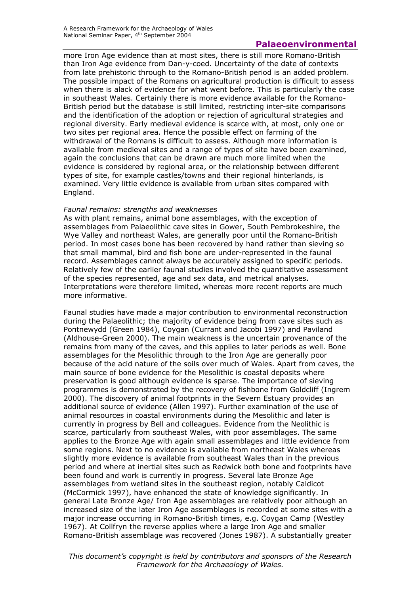more Iron Age evidence than at most sites, there is still more Romano-British than Iron Age evidence from Dan-y-coed. Uncertainty of the date of contexts from late prehistoric through to the Romano-British period is an added problem. The possible impact of the Romans on agricultural production is difficult to assess when there is alack of evidence for what went before. This is particularly the case in southeast Wales. Certainly there is more evidence available for the Romano-British period but the database is still limited, restricting inter-site comparisons and the identification of the adoption or rejection of agricultural strategies and regional diversity. Early medieval evidence is scarce with, at most, only one or two sites per regional area. Hence the possible effect on farming of the withdrawal of the Romans is difficult to assess. Although more information is available from medieval sites and a range of types of site have been examined, again the conclusions that can be drawn are much more limited when the evidence is considered by regional area, or the relationship between different types of site, for example castles/towns and their regional hinterlands, is examined. Very little evidence is available from urban sites compared with England.

#### *Faunal remains: strengths and weaknesses*

As with plant remains, animal bone assemblages, with the exception of assemblages from Palaeolithic cave sites in Gower, South Pembrokeshire, the Wye Valley and northeast Wales, are generally poor until the Romano-British period. In most cases bone has been recovered by hand rather than sieving so that small mammal, bird and fish bone are under-represented in the faunal record. Assemblages cannot always be accurately assigned to specific periods. Relatively few of the earlier faunal studies involved the quantitative assessment of the species represented, age and sex data, and metrical analyses. Interpretations were therefore limited, whereas more recent reports are much more informative.

Faunal studies have made a major contribution to environmental reconstruction during the Palaeolithic; the majority of evidence being from cave sites such as Pontnewydd (Green 1984), Coygan (Currant and Jacobi 1997) and Paviland (Aldhouse-Green 2000). The main weakness is the uncertain provenance of the remains from many of the caves, and this applies to later periods as well. Bone assemblages for the Mesolithic through to the Iron Age are generally poor because of the acid nature of the soils over much of Wales. Apart from caves, the main source of bone evidence for the Mesolithic is coastal deposits where preservation is good although evidence is sparse. The importance of sieving programmes is demonstrated by the recovery of fishbone from Goldcliff (Ingrem 2000). The discovery of animal footprints in the Severn Estuary provides an additional source of evidence (Allen 1997). Further examination of the use of animal resources in coastal environments during the Mesolithic and later is currently in progress by Bell and colleagues. Evidence from the Neolithic is scarce, particularly from southeast Wales, with poor assemblages. The same applies to the Bronze Age with again small assemblages and little evidence from some regions. Next to no evidence is available from northeast Wales whereas slightly more evidence is available from southeast Wales than in the previous period and where at inertial sites such as Redwick both bone and footprints have been found and work is currently in progress. Several late Bronze Age assemblages from wetland sites in the southeast region, notably Caldicot (McCormick 1997), have enhanced the state of knowledge significantly. In general Late Bronze Age/ Iron Age assemblages are relatively poor although an increased size of the later Iron Age assemblages is recorded at some sites with a major increase occurring in Romano-British times, e.g. Coygan Camp (Westley 1967). At Collfryn the reverse applies where a large Iron Age and smaller Romano-British assemblage was recovered (Jones 1987). A substantially greater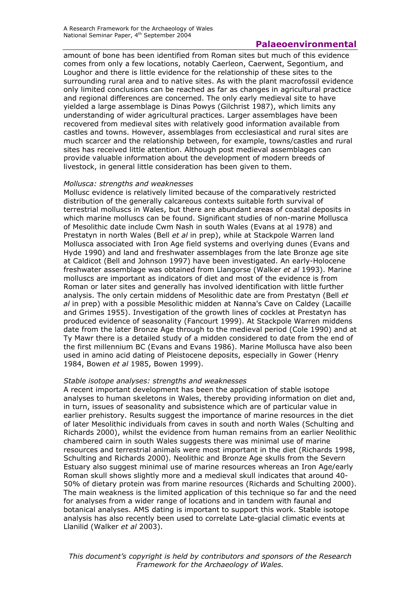amount of bone has been identified from Roman sites but much of this evidence comes from only a few locations, notably Caerleon, Caerwent, Segontium, and Loughor and there is little evidence for the relationship of these sites to the surrounding rural area and to native sites. As with the plant macrofossil evidence only limited conclusions can be reached as far as changes in agricultural practice and regional differences are concerned. The only early medieval site to have yielded a large assemblage is Dinas Powys (Gilchrist 1987), which limits any understanding of wider agricultural practices. Larger assemblages have been recovered from medieval sites with relatively good information available from castles and towns. However, assemblages from ecclesiastical and rural sites are much scarcer and the relationship between, for example, towns/castles and rural sites has received little attention. Although post medieval assemblages can provide valuable information about the development of modern breeds of livestock, in general little consideration has been given to them.

### *Mollusca: strengths and weaknesses*

Mollusc evidence is relatively limited because of the comparatively restricted distribution of the generally calcareous contexts suitable forth survival of terrestrial molluscs in Wales, but there are abundant areas of coastal deposits in which marine molluscs can be found. Significant studies of non-marine Mollusca of Mesolithic date include Cwm Nash in south Wales (Evans at al 1978) and Prestatyn in north Wales (Bell *et al* in prep), while at Stackpole Warren land Mollusca associated with Iron Age field systems and overlying dunes (Evans and Hyde 1990) and land and freshwater assemblages from the late Bronze age site at Caldicot (Bell and Johnson 1997) have been investigated. An early-Holocene freshwater assemblage was obtained from Llangorse (Walker *et al* 1993). Marine molluscs are important as indicators of diet and most of the evidence is from Roman or later sites and generally has involved identification with little further analysis. The only certain middens of Mesolithic date are from Prestatyn (Bell *et al* in prep) with a possible Mesolithic midden at Nanna's Cave on Caldey (Lacaille and Grimes 1955). Investigation of the growth lines of cockles at Prestatyn has produced evidence of seasonality (Fancourt 1999). At Stackpole Warren middens date from the later Bronze Age through to the medieval period (Cole 1990) and at Ty Mawr there is a detailed study of a midden considered to date from the end of the first millennium BC (Evans and Evans 1986). Marine Mollusca have also been used in amino acid dating of Pleistocene deposits, especially in Gower (Henry 1984, Bowen *et al* 1985, Bowen 1999).

## *Stable isotope analyses: strengths and weaknesses*

A recent important development has been the application of stable isotope analyses to human skeletons in Wales, thereby providing information on diet and, in turn, issues of seasonality and subsistence which are of particular value in earlier prehistory. Results suggest the importance of marine resources in the diet of later Mesolithic individuals from caves in south and north Wales (Schulting and Richards 2000), whilst the evidence from human remains from an earlier Neolithic chambered cairn in south Wales suggests there was minimal use of marine resources and terrestrial animals were most important in the diet (Richards 1998, Schulting and Richards 2000). Neolithic and Bronze Age skulls from the Severn Estuary also suggest minimal use of marine resources whereas an Iron Age/early Roman skull shows slightly more and a medieval skull indicates that around 40- 50% of dietary protein was from marine resources (Richards and Schulting 2000). The main weakness is the limited application of this technique so far and the need for analyses from a wider range of locations and in tandem with faunal and botanical analyses. AMS dating is important to support this work. Stable isotope analysis has also recently been used to correlate Late-glacial climatic events at Llanilid (Walker *et al* 2003).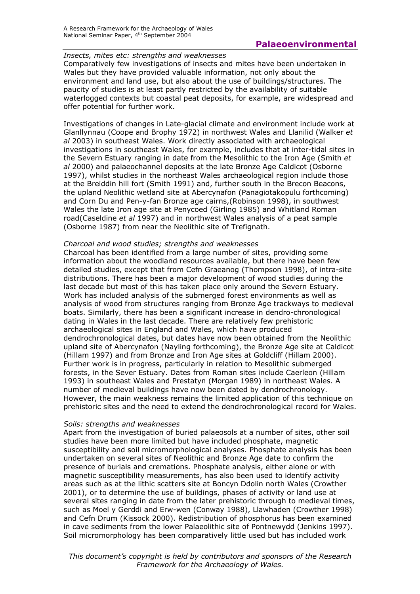## *Insects, mites etc: strengths and weaknesses*

Comparatively few investigations of insects and mites have been undertaken in Wales but they have provided valuable information, not only about the environment and land use, but also about the use of buildings/structures. The paucity of studies is at least partly restricted by the availability of suitable waterlogged contexts but coastal peat deposits, for example, are widespread and offer potential for further work.

Investigations of changes in Late-glacial climate and environment include work at Glanllynnau (Coope and Brophy 1972) in northwest Wales and Llanilid (Walker *et al* 2003) in southeast Wales. Work directly associated with archaeological investigations in southeast Wales, for example, includes that at inter-tidal sites in the Severn Estuary ranging in date from the Mesolithic to the Iron Age (Smith *et al* 2000) and palaeochannel deposits at the late Bronze Age Caldicot (Osborne 1997), whilst studies in the northeast Wales archaeological region include those at the Breiddin hill fort (Smith 1991) and, further south in the Brecon Beacons, the upland Neolithic wetland site at Abercynafon (Panagiotakopulu forthcoming) and Corn Du and Pen-y-fan Bronze age cairns,(Robinson 1998), in southwest Wales the late Iron age site at Penycoed (Girling 1985) and Whitland Roman road(Caseldine *et al* 1997) and in northwest Wales analysis of a peat sample (Osborne 1987) from near the Neolithic site of Trefignath.

### *Charcoal and wood studies; strengths and weaknesses*

Charcoal has been identified from a large number of sites, providing some information about the woodland resources available, but there have been few detailed studies, except that from Cefn Graeanog (Thompson 1998), of intra-site distributions. There has been a major development of wood studies during the last decade but most of this has taken place only around the Severn Estuary. Work has included analysis of the submerged forest environments as well as analysis of wood from structures ranging from Bronze Age trackways to medieval boats. Similarly, there has been a significant increase in dendro-chronological dating in Wales in the last decade. There are relatively few prehistoric archaeological sites in England and Wales, which have produced dendrochronological dates, but dates have now been obtained from the Neolithic upland site of Abercynafon (Nayling forthcoming), the Bronze Age site at Caldicot (Hillam 1997) and from Bronze and Iron Age sites at Goldcliff (Hillam 2000). Further work is in progress, particularly in relation to Mesolithic submerged forests, in the Sever Estuary. Dates from Roman sites include Caerleon (Hillam 1993) in southeast Wales and Prestatyn (Morgan 1989) in northeast Wales. A number of medieval buildings have now been dated by dendrochronology. However, the main weakness remains the limited application of this technique on prehistoric sites and the need to extend the dendrochronological record for Wales.

#### *Soils: strengths and weaknesses*

Apart from the investigation of buried palaeosols at a number of sites, other soil studies have been more limited but have included phosphate, magnetic susceptibility and soil micromorphological analyses. Phosphate analysis has been undertaken on several sites of Neolithic and Bronze Age date to confirm the presence of burials and cremations. Phosphate analysis, either alone or with magnetic susceptibility measurements, has also been used to identify activity areas such as at the lithic scatters site at Boncyn Ddolin north Wales (Crowther 2001), or to determine the use of buildings, phases of activity or land use at several sites ranging in date from the later prehistoric through to medieval times, such as Moel y Gerddi and Erw-wen (Conway 1988), Llawhaden (Crowther 1998) and Cefn Drum (Kissock 2000). Redistribution of phosphorus has been examined in cave sediments from the lower Palaeolithic site of Pontnewydd (Jenkins 1997). Soil micromorphology has been comparatively little used but has included work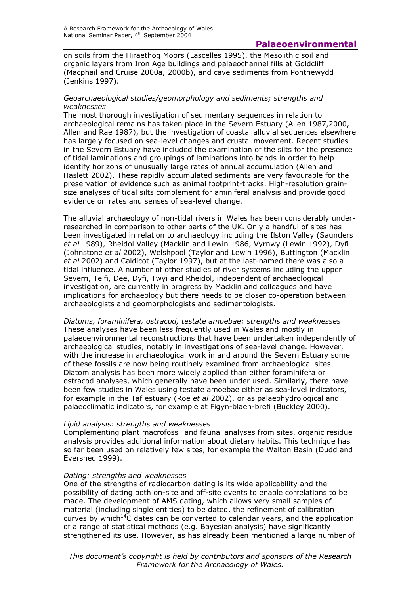on soils from the Hiraethog Moors (Lascelles 1995), the Mesolithic soil and organic layers from Iron Age buildings and palaeochannel fills at Goldcliff (Macphail and Cruise 2000a, 2000b), and cave sediments from Pontnewydd (Jenkins 1997).

#### *Geoarchaeological studies/geomorphology and sediments; strengths and weaknesses*

The most thorough investigation of sedimentary sequences in relation to archaeological remains has taken place in the Severn Estuary (Allen 1987,2000, Allen and Rae 1987), but the investigation of coastal alluvial sequences elsewhere has largely focused on sea-level changes and crustal movement. Recent studies in the Severn Estuary have included the examination of the silts for the presence of tidal laminations and groupings of laminations into bands in order to help identify horizons of unusually large rates of annual accumulation (Allen and Haslett 2002). These rapidly accumulated sediments are very favourable for the preservation of evidence such as animal footprint-tracks. High-resolution grainsize analyses of tidal silts complement for aminiferal analysis and provide good evidence on rates and senses of sea-level change.

The alluvial archaeology of non-tidal rivers in Wales has been considerably underresearched in comparison to other parts of the UK. Only a handful of sites has been investigated in relation to archaeology including the Ilston Valley (Saunders *et al* 1989), Rheidol Valley (Macklin and Lewin 1986, Vyrnwy (Lewin 1992), Dyfi (Johnstone *et al* 2002), Welshpool (Taylor and Lewin 1996), Buttington (Macklin *et al* 2002) and Caldicot (Taylor 1997), but at the last-named there was also a tidal influence. A number of other studies of river systems including the upper Severn, Teifi, Dee, Dyfi, Twyi and Rheidol, independent of archaeological investigation, are currently in progress by Macklin and colleagues and have implications for archaeology but there needs to be closer co-operation between archaeologists and geomorphologists and sedimentologists.

*Diatoms, foraminifera, ostracod, testate amoebae: strengths and weaknesses*  These analyses have been less frequently used in Wales and mostly in palaeoenvironmental reconstructions that have been undertaken independently of archaeological studies, notably in investigations of sea-level change. However, with the increase in archaeological work in and around the Severn Estuary some of these fossils are now being routinely examined from archaeological sites. Diatom analysis has been more widely applied than either foraminifera or ostracod analyses, which generally have been under used. Similarly, there have been few studies in Wales using testate amoebae either as sea-level indicators, for example in the Taf estuary (Roe *et al* 2002), or as palaeohydrological and palaeoclimatic indicators, for example at Figyn-blaen-brefi (Buckley 2000).

#### *Lipid analysis: strengths and weaknesses*

Complementing plant macrofossil and faunal analyses from sites, organic residue analysis provides additional information about dietary habits. This technique has so far been used on relatively few sites, for example the Walton Basin (Dudd and Evershed 1999).

#### *Dating: strengths and weaknesses*

One of the strengths of radiocarbon dating is its wide applicability and the possibility of dating both on-site and off-site events to enable correlations to be made. The development of AMS dating, which allows very small samples of material (including single entities) to be dated, the refinement of calibration curves by which<sup>14</sup>C dates can be converted to calendar years, and the application of a range of statistical methods (e.g. Bayesian analysis) have significantly strengthened its use. However, as has already been mentioned a large number of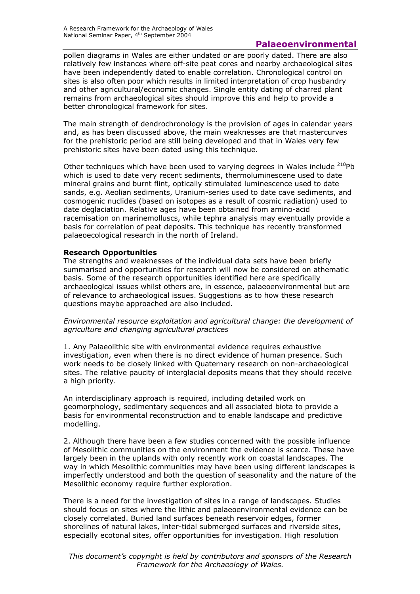pollen diagrams in Wales are either undated or are poorly dated. There are also relatively few instances where off-site peat cores and nearby archaeological sites have been independently dated to enable correlation. Chronological control on sites is also often poor which results in limited interpretation of crop husbandry and other agricultural/economic changes. Single entity dating of charred plant remains from archaeological sites should improve this and help to provide a better chronological framework for sites.

The main strength of dendrochronology is the provision of ages in calendar years and, as has been discussed above, the main weaknesses are that mastercurves for the prehistoric period are still being developed and that in Wales very few prehistoric sites have been dated using this technique.

Other techniques which have been used to varying degrees in Wales include  $^{210}Pb$ which is used to date very recent sediments, thermoluminescene used to date mineral grains and burnt flint, optically stimulated luminescence used to date sands, e.g. Aeolian sediments, Uranium-series used to date cave sediments, and cosmogenic nuclides (based on isotopes as a result of cosmic radiation) used to date deglaciation. Relative ages have been obtained from amino-acid racemisation on marinemolluscs, while tephra analysis may eventually provide a basis for correlation of peat deposits. This technique has recently transformed palaeoecological research in the north of Ireland.

## **Research Opportunities**

The strengths and weaknesses of the individual data sets have been briefly summarised and opportunities for research will now be considered on athematic basis. Some of the research opportunities identified here are specifically archaeological issues whilst others are, in essence, palaeoenvironmental but are of relevance to archaeological issues. Suggestions as to how these research questions maybe approached are also included.

*Environmental resource exploitation and agricultural change: the development of agriculture and changing agricultural practices* 

1. Any Palaeolithic site with environmental evidence requires exhaustive investigation, even when there is no direct evidence of human presence. Such work needs to be closely linked with Quaternary research on non-archaeological sites. The relative paucity of interglacial deposits means that they should receive a high priority.

An interdisciplinary approach is required, including detailed work on geomorphology, sedimentary sequences and all associated biota to provide a basis for environmental reconstruction and to enable landscape and predictive modelling.

2. Although there have been a few studies concerned with the possible influence of Mesolithic communities on the environment the evidence is scarce. These have largely been in the uplands with only recently work on coastal landscapes. The way in which Mesolithic communities may have been using different landscapes is imperfectly understood and both the question of seasonality and the nature of the Mesolithic economy require further exploration.

There is a need for the investigation of sites in a range of landscapes. Studies should focus on sites where the lithic and palaeoenvironmental evidence can be closely correlated. Buried land surfaces beneath reservoir edges, former shorelines of natural lakes, inter-tidal submerged surfaces and riverside sites, especially ecotonal sites, offer opportunities for investigation. High resolution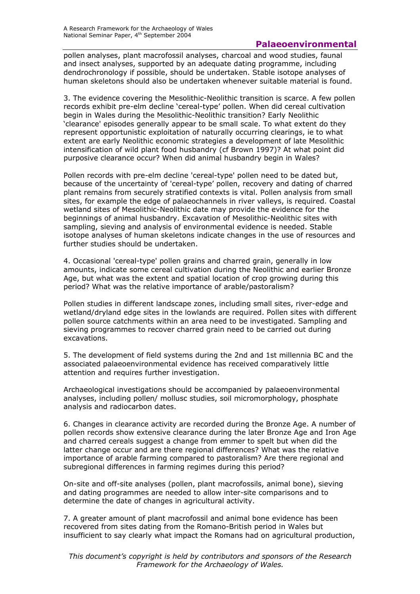pollen analyses, plant macrofossil analyses, charcoal and wood studies, faunal and insect analyses, supported by an adequate dating programme, including dendrochronology if possible, should be undertaken. Stable isotope analyses of human skeletons should also be undertaken whenever suitable material is found.

3. The evidence covering the Mesolithic-Neolithic transition is scarce. A few pollen records exhibit pre-elm decline 'cereal-type' pollen. When did cereal cultivation begin in Wales during the Mesolithic-Neolithic transition? Early Neolithic 'clearance' episodes generally appear to be small scale. To what extent do they represent opportunistic exploitation of naturally occurring clearings, ie to what extent are early Neolithic economic strategies a development of late Mesolithic intensification of wild plant food husbandry (cf Brown 1997)? At what point did purposive clearance occur? When did animal husbandry begin in Wales?

Pollen records with pre-elm decline 'cereal-type' pollen need to be dated but, because of the uncertainty of 'cereal-type' pollen, recovery and dating of charred plant remains from securely stratified contexts is vital. Pollen analysis from small sites, for example the edge of palaeochannels in river valleys, is required. Coastal wetland sites of Mesolithic-Neolithic date may provide the evidence for the beginnings of animal husbandry. Excavation of Mesolithic-Neolithic sites with sampling, sieving and analysis of environmental evidence is needed. Stable isotope analyses of human skeletons indicate changes in the use of resources and further studies should be undertaken.

4. Occasional 'cereal-type' pollen grains and charred grain, generally in low amounts, indicate some cereal cultivation during the Neolithic and earlier Bronze Age, but what was the extent and spatial location of crop growing during this period? What was the relative importance of arable/pastoralism?

Pollen studies in different landscape zones, including small sites, river-edge and wetland/dryland edge sites in the lowlands are required. Pollen sites with different pollen source catchments within an area need to be investigated. Sampling and sieving programmes to recover charred grain need to be carried out during excavations.

5. The development of field systems during the 2nd and 1st millennia BC and the associated palaeoenvironmental evidence has received comparatively little attention and requires further investigation.

Archaeological investigations should be accompanied by palaeoenvironmental analyses, including pollen/ mollusc studies, soil micromorphology, phosphate analysis and radiocarbon dates.

6. Changes in clearance activity are recorded during the Bronze Age. A number of pollen records show extensive clearance during the later Bronze Age and Iron Age and charred cereals suggest a change from emmer to spelt but when did the latter change occur and are there regional differences? What was the relative importance of arable farming compared to pastoralism? Are there regional and subregional differences in farming regimes during this period?

On-site and off-site analyses (pollen, plant macrofossils, animal bone), sieving and dating programmes are needed to allow inter-site comparisons and to determine the date of changes in agricultural activity.

7. A greater amount of plant macrofossil and animal bone evidence has been recovered from sites dating from the Romano-British period in Wales but insufficient to say clearly what impact the Romans had on agricultural production,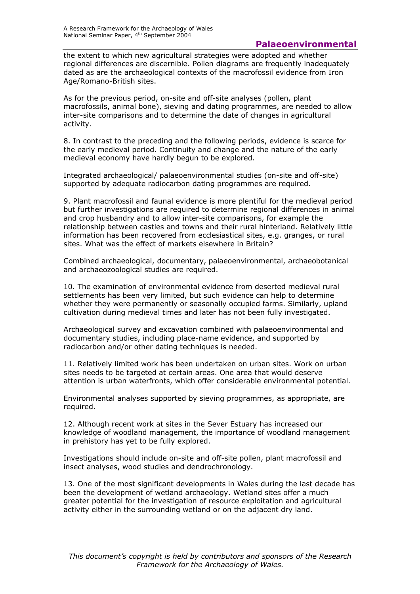the extent to which new agricultural strategies were adopted and whether regional differences are discernible. Pollen diagrams are frequently inadequately dated as are the archaeological contexts of the macrofossil evidence from Iron Age/Romano-British sites.

As for the previous period, on-site and off-site analyses (pollen, plant macrofossils, animal bone), sieving and dating programmes, are needed to allow inter-site comparisons and to determine the date of changes in agricultural activity.

8. In contrast to the preceding and the following periods, evidence is scarce for the early medieval period. Continuity and change and the nature of the early medieval economy have hardly begun to be explored.

Integrated archaeological/ palaeoenvironmental studies (on-site and off-site) supported by adequate radiocarbon dating programmes are required.

9. Plant macrofossil and faunal evidence is more plentiful for the medieval period but further investigations are required to determine regional differences in animal and crop husbandry and to allow inter-site comparisons, for example the relationship between castles and towns and their rural hinterland. Relatively little information has been recovered from ecclesiastical sites, e.g. granges, or rural sites. What was the effect of markets elsewhere in Britain?

Combined archaeological, documentary, palaeoenvironmental, archaeobotanical and archaeozoological studies are required.

10. The examination of environmental evidence from deserted medieval rural settlements has been very limited, but such evidence can help to determine whether they were permanently or seasonally occupied farms. Similarly, upland cultivation during medieval times and later has not been fully investigated.

Archaeological survey and excavation combined with palaeoenvironmental and documentary studies, including place-name evidence, and supported by radiocarbon and/or other dating techniques is needed.

11. Relatively limited work has been undertaken on urban sites. Work on urban sites needs to be targeted at certain areas. One area that would deserve attention is urban waterfronts, which offer considerable environmental potential.

Environmental analyses supported by sieving programmes, as appropriate, are required.

12. Although recent work at sites in the Sever Estuary has increased our knowledge of woodland management, the importance of woodland management in prehistory has yet to be fully explored.

Investigations should include on-site and off-site pollen, plant macrofossil and insect analyses, wood studies and dendrochronology.

13. One of the most significant developments in Wales during the last decade has been the development of wetland archaeology. Wetland sites offer a much greater potential for the investigation of resource exploitation and agricultural activity either in the surrounding wetland or on the adjacent dry land.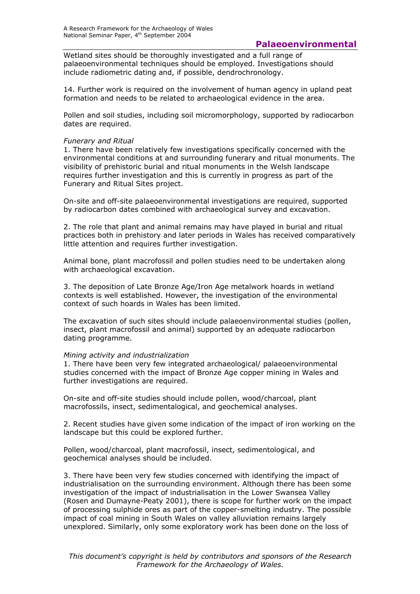Wetland sites should be thoroughly investigated and a full range of palaeoenvironmental techniques should be employed. Investigations should include radiometric dating and, if possible, dendrochronology.

14. Further work is required on the involvement of human agency in upland peat formation and needs to be related to archaeological evidence in the area.

Pollen and soil studies, including soil micromorphology, supported by radiocarbon dates are required.

#### *Funerary and Ritual*

1. There have been relatively few investigations specifically concerned with the environmental conditions at and surrounding funerary and ritual monuments. The visibility of prehistoric burial and ritual monuments in the Welsh landscape requires further investigation and this is currently in progress as part of the Funerary and Ritual Sites project.

On-site and off-site palaeoenvironmental investigations are required, supported by radiocarbon dates combined with archaeological survey and excavation.

2. The role that plant and animal remains may have played in burial and ritual practices both in prehistory and later periods in Wales has received comparatively little attention and requires further investigation.

Animal bone, plant macrofossil and pollen studies need to be undertaken along with archaeological excavation.

3. The deposition of Late Bronze Age/Iron Age metalwork hoards in wetland contexts is well established. However, the investigation of the environmental context of such hoards in Wales has been limited.

The excavation of such sites should include palaeoenvironmental studies (pollen, insect, plant macrofossil and animal) supported by an adequate radiocarbon dating programme.

#### *Mining activity and industrialization*

1. There have been very few integrated archaeological/ palaeoenvironmental studies concerned with the impact of Bronze Age copper mining in Wales and further investigations are required.

On-site and off-site studies should include pollen, wood/charcoal, plant macrofossils, insect, sedimentalogical, and geochemical analyses.

2. Recent studies have given some indication of the impact of iron working on the landscape but this could be explored further.

Pollen, wood/charcoal, plant macrofossil, insect, sedimentological, and geochemical analyses should be included.

3. There have been very few studies concerned with identifying the impact of industrialisation on the surrounding environment. Although there has been some investigation of the impact of industrialisation in the Lower Swansea Valley (Rosen and Dumayne-Peaty 2001), there is scope for further work on the impact of processing sulphide ores as part of the copper-smelting industry. The possible impact of coal mining in South Wales on valley alluviation remains largely unexplored. Similarly, only some exploratory work has been done on the loss of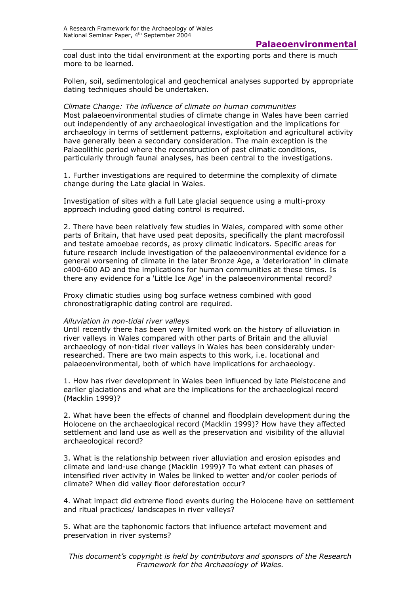coal dust into the tidal environment at the exporting ports and there is much more to be learned.

Pollen, soil, sedimentological and geochemical analyses supported by appropriate dating techniques should be undertaken.

#### *Climate Change: The influence of climate on human communities*  Most palaeoenvironmental studies of climate change in Wales have been carried out independently of any archaeological investigation and the implications for archaeology in terms of settlement patterns, exploitation and agricultural activity have generally been a secondary consideration. The main exception is the Palaeolithic period where the reconstruction of past climatic conditions, particularly through faunal analyses, has been central to the investigations.

1. Further investigations are required to determine the complexity of climate change during the Late glacial in Wales.

Investigation of sites with a full Late glacial sequence using a multi-proxy approach including good dating control is required.

2. There have been relatively few studies in Wales, compared with some other parts of Britain, that have used peat deposits, specifically the plant macrofossil and testate amoebae records, as proxy climatic indicators. Specific areas for future research include investigation of the palaeoenvironmental evidence for a general worsening of climate in the later Bronze Age, a 'deterioration' in climate *c*400-600 AD and the implications for human communities at these times. Is there any evidence for a 'Little Ice Age' in the palaeoenvironmental record?

Proxy climatic studies using bog surface wetness combined with good chronostratigraphic dating control are required.

#### *Alluviation in non-tidal river valleys*

Until recently there has been very limited work on the history of alluviation in river valleys in Wales compared with other parts of Britain and the alluvial archaeology of non-tidal river valleys in Wales has been considerably underresearched. There are two main aspects to this work, i.e. locational and palaeoenvironmental, both of which have implications for archaeology.

1. How has river development in Wales been influenced by late Pleistocene and earlier glaciations and what are the implications for the archaeological record (Macklin 1999)?

2. What have been the effects of channel and floodplain development during the Holocene on the archaeological record (Macklin 1999)? How have they affected settlement and land use as well as the preservation and visibility of the alluvial archaeological record?

3. What is the relationship between river alluviation and erosion episodes and climate and land-use change (Macklin 1999)? To what extent can phases of intensified river activity in Wales be linked to wetter and/or cooler periods of climate? When did valley floor deforestation occur?

4. What impact did extreme flood events during the Holocene have on settlement and ritual practices/ landscapes in river valleys?

5. What are the taphonomic factors that influence artefact movement and preservation in river systems?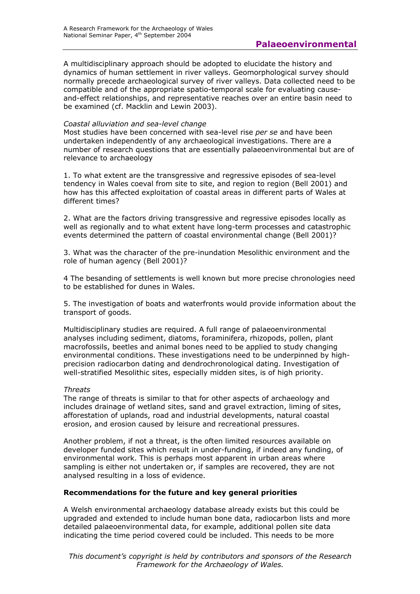A multidisciplinary approach should be adopted to elucidate the history and dynamics of human settlement in river valleys. Geomorphological survey should normally precede archaeological survey of river valleys. Data collected need to be compatible and of the appropriate spatio-temporal scale for evaluating causeand-effect relationships, and representative reaches over an entire basin need to be examined (cf. Macklin and Lewin 2003).

### *Coastal alluviation and sea-level change*

Most studies have been concerned with sea-level rise *per se* and have been undertaken independently of any archaeological investigations. There are a number of research questions that are essentially palaeoenvironmental but are of relevance to archaeology

1. To what extent are the transgressive and regressive episodes of sea-level tendency in Wales coeval from site to site, and region to region (Bell 2001) and how has this affected exploitation of coastal areas in different parts of Wales at different times?

2. What are the factors driving transgressive and regressive episodes locally as well as regionally and to what extent have long-term processes and catastrophic events determined the pattern of coastal environmental change (Bell 2001)?

3. What was the character of the pre-inundation Mesolithic environment and the role of human agency (Bell 2001)?

4 The besanding of settlements is well known but more precise chronologies need to be established for dunes in Wales.

5. The investigation of boats and waterfronts would provide information about the transport of goods.

Multidisciplinary studies are required. A full range of palaeoenvironmental analyses including sediment, diatoms, foraminifera, rhizopods, pollen, plant macrofossils, beetles and animal bones need to be applied to study changing environmental conditions. These investigations need to be underpinned by highprecision radiocarbon dating and dendrochronological dating. Investigation of well-stratified Mesolithic sites, especially midden sites, is of high priority.

#### *Threats*

The range of threats is similar to that for other aspects of archaeology and includes drainage of wetland sites, sand and gravel extraction, liming of sites, afforestation of uplands, road and industrial developments, natural coastal erosion, and erosion caused by leisure and recreational pressures.

Another problem, if not a threat, is the often limited resources available on developer funded sites which result in under-funding, if indeed any funding, of environmental work. This is perhaps most apparent in urban areas where sampling is either not undertaken or, if samples are recovered, they are not analysed resulting in a loss of evidence.

## **Recommendations for the future and key general priorities**

A Welsh environmental archaeology database already exists but this could be upgraded and extended to include human bone data, radiocarbon lists and more detailed palaeoenvironmental data, for example, additional pollen site data indicating the time period covered could be included. This needs to be more